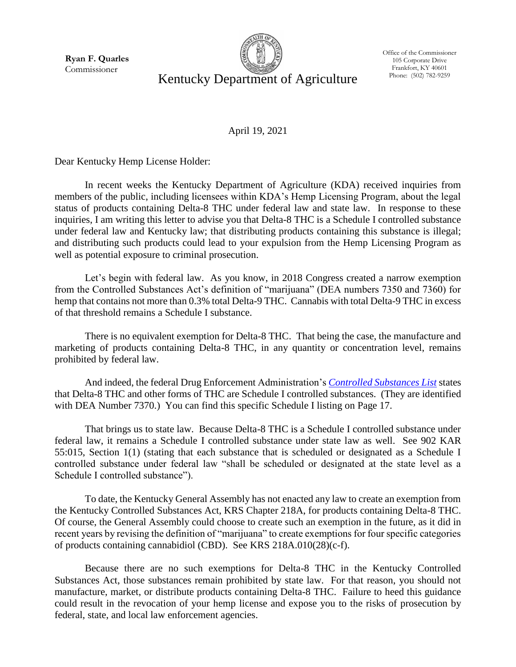**Ryan F. Quarles** Commissioner



Office of the Commissioner 105 Corporate Drive Frankfort, KY 40601<br>Phone: (502) 782-9259

## Kentucky Department of Agriculture

## April 19, 2021

Dear Kentucky Hemp License Holder:

In recent weeks the Kentucky Department of Agriculture (KDA) received inquiries from members of the public, including licensees within KDA's Hemp Licensing Program, about the legal status of products containing Delta-8 THC under federal law and state law. In response to these inquiries, I am writing this letter to advise you that Delta-8 THC is a Schedule I controlled substance under federal law and Kentucky law; that distributing products containing this substance is illegal; and distributing such products could lead to your expulsion from the Hemp Licensing Program as well as potential exposure to criminal prosecution.

Let's begin with federal law. As you know, in 2018 Congress created a narrow exemption from the Controlled Substances Act's definition of "marijuana" (DEA numbers 7350 and 7360) for hemp that contains not more than 0.3% total Delta-9 THC. Cannabis with total Delta-9 THC in excess of that threshold remains a Schedule I substance.

There is no equivalent exemption for Delta-8 THC. That being the case, the manufacture and marketing of products containing Delta-8 THC, in any quantity or concentration level, remains prohibited by federal law.

And indeed, the federal Drug Enforcement Administration's *[Controlled Substances List](https://www.deadiversion.usdoj.gov/schedules/orangebook/c_cs_alpha.pdf)* states that Delta-8 THC and other forms of THC are Schedule I controlled substances. (They are identified with DEA Number 7370.) You can find this specific Schedule I listing on Page 17.

That brings us to state law. Because Delta-8 THC is a Schedule I controlled substance under federal law, it remains a Schedule I controlled substance under state law as well. See 902 KAR 55:015, Section 1(1) (stating that each substance that is scheduled or designated as a Schedule I controlled substance under federal law "shall be scheduled or designated at the state level as a Schedule I controlled substance").

To date, the Kentucky General Assembly has not enacted any law to create an exemption from the Kentucky Controlled Substances Act, KRS Chapter 218A, for products containing Delta-8 THC. Of course, the General Assembly could choose to create such an exemption in the future, as it did in recent years by revising the definition of "marijuana" to create exemptions for four specific categories of products containing cannabidiol (CBD). See KRS 218A.010(28)(c-f).

Because there are no such exemptions for Delta-8 THC in the Kentucky Controlled Substances Act, those substances remain prohibited by state law. For that reason, you should not manufacture, market, or distribute products containing Delta-8 THC. Failure to heed this guidance could result in the revocation of your hemp license and expose you to the risks of prosecution by federal, state, and local law enforcement agencies.